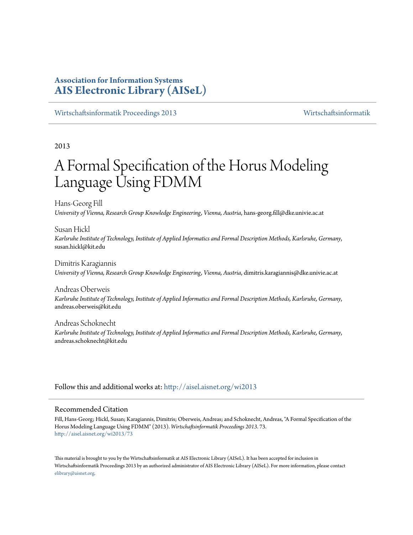# **Association for Information Systems [AIS Electronic Library \(AISeL\)](http://aisel.aisnet.org?utm_source=aisel.aisnet.org%2Fwi2013%2F73&utm_medium=PDF&utm_campaign=PDFCoverPages)**

[Wirtschaftsinformatik Proceedings 2013](http://aisel.aisnet.org/wi2013?utm_source=aisel.aisnet.org%2Fwi2013%2F73&utm_medium=PDF&utm_campaign=PDFCoverPages) [Wirtschaftsinformatik](http://aisel.aisnet.org/wi?utm_source=aisel.aisnet.org%2Fwi2013%2F73&utm_medium=PDF&utm_campaign=PDFCoverPages)

2013

# A Formal Specification of the Horus Modeling Language Using FDMM

Hans-Georg Fill *University of Vienna, Research Group Knowledge Engineering, Vienna, Austria*, hans-georg.fill@dke.univie.ac.at

Susan Hickl *Karlsruhe Institute of Technology, Institute of Applied Informatics and Formal Description Methods, Karlsruhe, Germany*, susan.hickl@kit.edu

Dimitris Karagiannis *University of Vienna, Research Group Knowledge Engineering, Vienna, Austria*, dimitris.karagiannis@dke.univie.ac.at

Andreas Oberweis *Karlsruhe Institute of Technology, Institute of Applied Informatics and Formal Description Methods, Karlsruhe, Germany*, andreas.oberweis@kit.edu

Andreas Schoknecht *Karlsruhe Institute of Technology, Institute of Applied Informatics and Formal Description Methods, Karlsruhe, Germany*, andreas.schoknecht@kit.edu

Follow this and additional works at: [http://aisel.aisnet.org/wi2013](http://aisel.aisnet.org/wi2013?utm_source=aisel.aisnet.org%2Fwi2013%2F73&utm_medium=PDF&utm_campaign=PDFCoverPages)

#### Recommended Citation

Fill, Hans-Georg; Hickl, Susan; Karagiannis, Dimitris; Oberweis, Andreas; and Schoknecht, Andreas, "A Formal Specification of the Horus Modeling Language Using FDMM" (2013). *Wirtschaftsinformatik Proceedings 2013*. 73. [http://aisel.aisnet.org/wi2013/73](http://aisel.aisnet.org/wi2013/73?utm_source=aisel.aisnet.org%2Fwi2013%2F73&utm_medium=PDF&utm_campaign=PDFCoverPages)

This material is brought to you by the Wirtschaftsinformatik at AIS Electronic Library (AISeL). It has been accepted for inclusion in Wirtschaftsinformatik Proceedings 2013 by an authorized administrator of AIS Electronic Library (AISeL). For more information, please contact [elibrary@aisnet.org.](mailto:elibrary@aisnet.org%3E)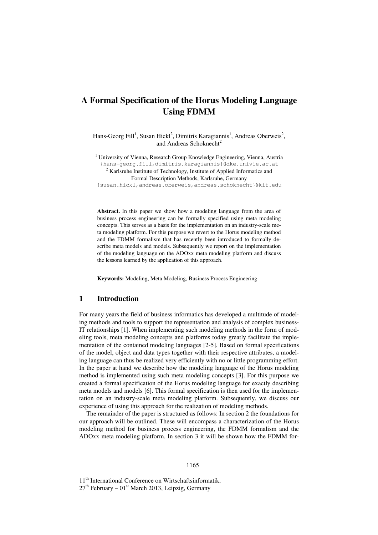# **A Formal Specification of the Horus Modeling Language Using FDMM**

Hans-Georg Fill<sup>1</sup>, Susan Hickl<sup>2</sup>, Dimitris Karagiannis<sup>1</sup>, Andreas Oberweis<sup>2</sup>, and Andreas Schoknecht<sup>2</sup>

<sup>1</sup> University of Vienna, Research Group Knowledge Engineering, Vienna, Austria {hans-georg.fill,dimitris.karagiannis}@dke.univie.ac.at  $2^{2}$  Karlsruhe Institute of Technology, Institute of Applied Informatics and Formal Description Methods, Karlsruhe, Germany

{susan.hickl,andreas.oberweis,andreas.schoknecht}@kit.edu

**Abstract.** In this paper we show how a modeling language from the area of business process engineering can be formally specified using meta modeling concepts. This serves as a basis for the implementation on an industry-scale meta modeling platform. For this purpose we revert to the Horus modeling method and the FDMM formalism that has recently been introduced to formally describe meta models and models. Subsequently we report on the implementation of the modeling language on the ADOxx meta modeling platform and discuss the lessons learned by the application of this approach.

**Keywords:** Modeling, Meta Modeling, Business Process Engineering

### **1 Introduction**

For many years the field of business informatics has developed a multitude of modeling methods and tools to support the representation and analysis of complex business-IT relationships [1]. When implementing such modeling methods in the form of modeling tools, meta modeling concepts and platforms today greatly facilitate the implementation of the contained modeling languages [2-5]. Based on formal specifications of the model, object and data types together with their respective attributes, a modeling language can thus be realized very efficiently with no or little programming effort. In the paper at hand we describe how the modeling language of the Horus modeling method is implemented using such meta modeling concepts [3]. For this purpose we created a formal specification of the Horus modeling language for exactly describing meta models and models [6]. This formal specification is then used for the implementation on an industry-scale meta modeling platform. Subsequently, we discuss our experience of using this approach for the realization of modeling methods.

The remainder of the paper is structured as follows: In section 2 the foundations for our approach will be outlined. These will encompass a characterization of the Horus modeling method for business process engineering, the FDMM formalism and the ADOxx meta modeling platform. In section 3 it will be shown how the FDMM for-

11<sup>th</sup> International Conference on Wirtschaftsinformatik,  $27<sup>th</sup>$  February –  $01<sup>st</sup>$  March 2013, Leipzig, Germany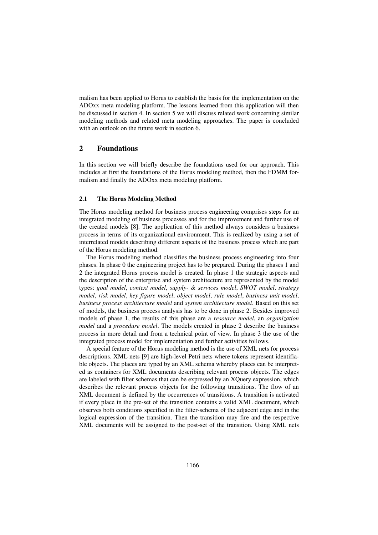malism has been applied to Horus to establish the basis for the implementation on the ADOxx meta modeling platform. The lessons learned from this application will then be discussed in section 4. In section 5 we will discuss related work concerning similar modeling methods and related meta modeling approaches. The paper is concluded with an outlook on the future work in section 6.

## **2 Foundations**

In this section we will briefly describe the foundations used for our approach. This includes at first the foundations of the Horus modeling method, then the FDMM formalism and finally the ADOxx meta modeling platform.

#### **2.1 The Horus Modeling Method**

The Horus modeling method for business process engineering comprises steps for an integrated modeling of business processes and for the improvement and further use of the created models [8]. The application of this method always considers a business process in terms of its organizational environment. This is realized by using a set of interrelated models describing different aspects of the business process which are part of the Horus modeling method.

The Horus modeling method classifies the business process engineering into four phases. In phase 0 the engineering project has to be prepared. During the phases 1 and 2 the integrated Horus process model is created. In phase 1 the strategic aspects and the description of the enterprise and system architecture are represented by the model types: *goal model*, *context model*, *supply- & services model*, *SWOT model*, *strategy model*, *risk model*, *key figure model*, *object model*, *rule model*, *business unit model*, *business process architecture model* and *system architecture model*. Based on this set of models, the business process analysis has to be done in phase 2. Besides improved models of phase 1, the results of this phase are a *resource model*, an *organization model* and a *procedure model*. The models created in phase 2 describe the business process in more detail and from a technical point of view. In phase 3 the use of the integrated process model for implementation and further activities follows.

A special feature of the Horus modeling method is the use of XML nets for process descriptions. XML nets [9] are high-level Petri nets where tokens represent identifiable objects. The places are typed by an XML schema whereby places can be interpreted as containers for XML documents describing relevant process objects. The edges are labeled with filter schemas that can be expressed by an XQuery expression, which describes the relevant process objects for the following transitions. The flow of an XML document is defined by the occurrences of transitions. A transition is activated if every place in the pre-set of the transition contains a valid XML document, which observes both conditions specified in the filter-schema of the adjacent edge and in the logical expression of the transition. Then the transition may fire and the respective XML documents will be assigned to the post-set of the transition. Using XML nets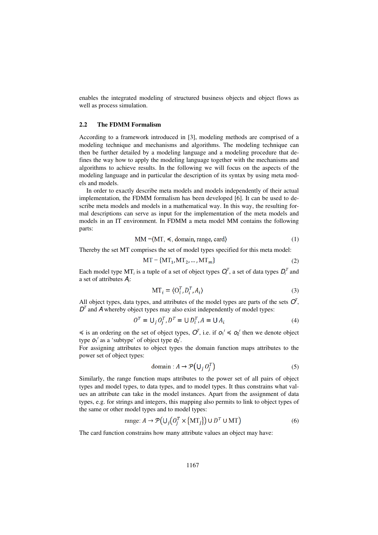enables the integrated modeling of structured business objects and object flows as well as process simulation.

#### **2.2 The FDMM Formalism**

According to a framework introduced in [3], modeling methods are comprised of a modeling technique and mechanisms and algorithms. The modeling technique can then be further detailed by a modeling language and a modeling procedure that defines the way how to apply the modeling language together with the mechanisms and algorithms to achieve results. In the following we will focus on the aspects of the modeling language and in particular the description of its syntax by using meta models and models.

In order to exactly describe meta models and models independently of their actual implementation, the FDMM formalism has been developed [6]. It can be used to describe meta models and models in a mathematical way. In this way, the resulting formal descriptions can serve as input for the implementation of the meta models and models in an IT environment. In FDMM a meta model MM contains the following parts:

$$
MM = (MT, \leq, domain, range, card)
$$
\n(1)

Thereby the set MT comprises the set of model types specified for this meta model:

$$
MT = \{MT_1, MT_2, \dots, MT_m\} \tag{2}
$$

Each model type MT<sub>*i*</sub> is a tuple of a set of object types  $Q_i^T$ , a set of data types  $D_i^T$  and a set of attributes A*<sup>i</sup>* :

$$
MT_i = \langle O_i^T, D_i^T, A_i \rangle \tag{3}
$$

All object types, data types, and attributes of the model types are parts of the sets  $O<sup>T</sup>$ ,  $D<sup>T</sup>$  and A whereby object types may also exist independently of model types:

$$
OT = \bigcup_j O_jT, DT = \bigcup D_iT, A = \bigcup A_i
$$
\n(4)

 $\leq$  is an ordering on the set of object types,  $O^T$ , i.e. if  $O_1^t \leq O_2^t$  then we denote object type  $o_1$ <sup>t</sup> as a 'subtype' of object type  $o_2$ <sup>t</sup>.

For assigning attributes to object types the domain function maps attributes to the power set of object types:

$$
domain: A \to \mathcal{P}(U_i O_i^T)
$$
 (5)

Similarly, the range function maps attributes to the power set of all pairs of object types and model types, to data types, and to model types. It thus constrains what values an attribute can take in the model instances. Apart from the assignment of data types, e.g. for strings and integers, this mapping also permits to link to object types of the same or other model types and to model types:

$$
\text{range: } A \to \mathcal{P}\big(\bigcup_j \big(O_j^T \times \big[\text{MT}_j\big]\big) \cup D^T \cup \text{MT}\big) \tag{6}
$$

The card function constrains how many attribute values an object may have: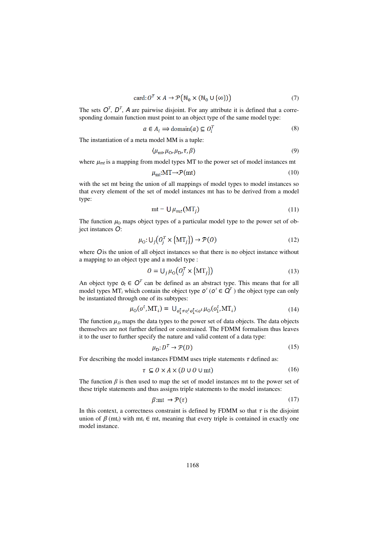$$
card: O^T \times A \to \mathcal{P}(N_0 \times (N_0 \cup {\{\infty\}}))
$$
 (7)

The sets  $O^T$ ,  $D^T$ , A are pairwise disjoint. For any attribute it is defined that a corresponding domain function must point to an object type of the same model type:

$$
a \in A_i \implies \text{domain}(a) \subseteq O_i^T \tag{8}
$$

The instantiation of a meta model MM is a tuple:

$$
\langle \mu_{\rm mt} \mu_{\rm O}, \mu_{\rm D}, \tau, \beta \rangle \tag{9}
$$

where  $\mu_{mt}$  is a mapping from model types MT to the power set of model instances mt

$$
\mu_{\rm mt} : \mathbf{MT} \to \mathcal{P}(\mathbf{mt}) \tag{10}
$$

with the set mt being the union of all mappings of model types to model instances so that every element of the set of model instances mt has to be derived from a model type:

$$
mt = U \mu_{mt}(MT_i) \tag{11}
$$

The function  $\mu_0$  maps object types of a particular model type to the power set of object instances O:

$$
\mu_0: \bigcup_j \big( O_j^T \times \{ \mathbf{MT}_j \} \big) \to \mathcal{P}(O) \tag{12}
$$

where  $\overline{O}$  is the union of all object instances so that there is no object instance without a mapping to an object type and a model type :

$$
O = U_j \mu_O \left( O_j^T \times \{ MT_j \} \right) \tag{13}
$$

An object type  $o_t \in O^T$  can be defined as an abstract type. This means that for all model types  $MT_i$  which contain the object type  $o^t$  ( $o^t \in \overline{Q}^T$ ) the object type can only be instantiated through one of its subtypes:

$$
u_0(o^t, MT_i) = U_{o_1^t \neq o_1^t o_2^t \leq o_1^t} \mu_0(o_1^t, MT_i)
$$
\n(14)

The function  $\mu_D$  maps the data types to the power set of data objects. The data objects themselves are not further defined or constrained. The FDMM formalism thus leaves it to the user to further specify the nature and valid content of a data type:

$$
\mu_{\mathcal{D}}: D^T \to \mathcal{P}(D) \tag{15}
$$

For describing the model instances FDMM uses triple statements  $\tau$  defined as:

$$
\tau \subseteq O \times A \times (D \cup O \cup mt) \tag{16}
$$

The function  $\beta$  is then used to map the set of model instances mt to the power set of these triple statements and thus assigns triple statements to the model instances:

$$
\beta \text{:mt} \to \mathcal{P}(\tau) \tag{17}
$$

In this context, a correctness constraint is defined by FDMM so that  $\tau$  is the disjoint union of  $\beta$  (mt<sub>i</sub>) with mt<sub>i</sub>  $\in$  mt, meaning that every triple is contained in exactly one model instance.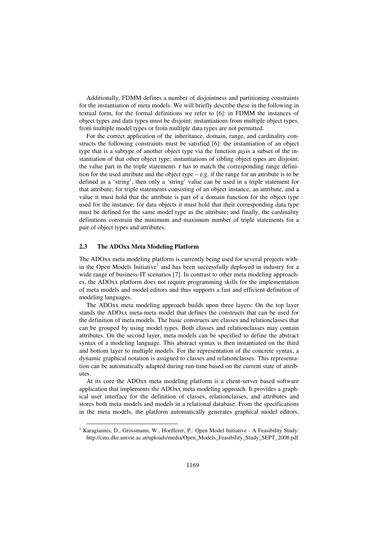Additionally, FDMM defines a number of disjointness and partitioning constraints for the instantiation of meta models. We will briefly describe these in the following in textual form, for the formal definitions we refer to [6]: in FDMM the instances of object types and data types must be disjoint; instantiations from multiple object types, from multiple model types or from multiple data types are not permitted.

For the correct application of the inheritance, domain, range, and cardinality constructs the following constraints must be satisfied [6]: the instantiation of an object type that is a subtype of another object type via the function  $\mu_0$  is a subset of the instantiation of that other object type; instantiations of sibling object types are disjoint; the value part in the triple statements  $\tau$  has to match the corresponding range definition for the used attribute and the object type  $-e.g.$  if the range for an attribute is to be defined as a 'string', then only a 'string' value can be used in a triple statement for that attribute; for triple statements consisting of an object instance, an attribute, and a value it must hold that the attribute is part of a domain function for the object type used for the instance; for data objects it must hold that their corresponding data type must be defined for the same model type as the attribute; and finally, the cardinality definitions constrain the minimum and maximum number of triple statements for a pair of object types and attributes.

#### **2.3 The ADOxx Meta Modeling Platform**

l

The ADOxx meta modeling platform is currently being used for several projects within the Open Models Initiative<sup>1</sup> and has been successfully deployed in industry for a wide range of business-IT scenarios [7]. In contrast to other meta modeling approaches, the ADOxx platform does not require programming skills for the implementation of meta models and model editors and thus supports a fast and efficient definition of modeling languages.

The ADOxx meta modeling approach builds upon three layers: On the top layer stands the ADOxx meta-meta model that defines the constructs that can be used for the definition of meta models. The basic constructs are classes and relationclasses that can be grouped by using model types. Both classes and relationclasses may contain attributes. On the second layer, meta models can be specified to define the abstract syntax of a modeling language. This abstract syntax is then instantiated on the third and bottom layer to multiple models. For the representation of the concrete syntax, a dynamic graphical notation is assigned to classes and relationclasses. This representation can be automatically adapted during run-time based on the current state of attributes.

At its core the ADOxx meta modeling platform is a client-server based software application that implements the ADOxx meta modeling approach. It provides a graphical user interface for the definition of classes, relationclasses, and attributes and stores both meta models and models in a relational database. From the specifications in the meta models, the platform automatically generates graphical model editors,

<sup>1</sup> Karagiannis, D., Grossmann, W., Hoefferer, P.: Open Model Initiative - A Feasibility Study: http://cms.dke.univie.ac.at/uploads/media/Open\_Models\_Feasibility\_Study\_SEPT\_2008.pdf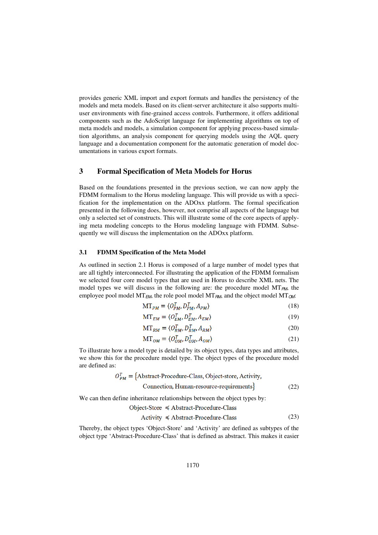provides generic XML import and export formats and handles the persistency of the models and meta models. Based on its client-server architecture it also supports multiuser environments with fine-grained access controls. Furthermore, it offers additional components such as the AdoScript language for implementing algorithms on top of meta models and models, a simulation component for applying process-based simulation algorithms, an analysis component for querying models using the AQL query language and a documentation component for the automatic generation of model documentations in various export formats.

## **3 Formal Specification of Meta Models for Horus**

Based on the foundations presented in the previous section, we can now apply the FDMM formalism to the Horus modeling language. This will provide us with a specification for the implementation on the ADOxx platform. The formal specification presented in the following does, however, not comprise all aspects of the language but only a selected set of constructs. This will illustrate some of the core aspects of applying meta modeling concepts to the Horus modeling language with FDMM. Subsequently we will discuss the implementation on the ADOxx platform.

#### **3.1 FDMM Specification of the Meta Model**

As outlined in section 2.1 Horus is composed of a large number of model types that are all tightly interconnected. For illustrating the application of the FDMM formalism we selected four core model types that are used in Horus to describe XML nets. The model types we will discuss in the following are: the procedure model  $MT_{PM}$ , the employee pool model MT<sub>EM</sub>, the role pool model MT<sub>RM</sub>, and the object model MT<sub>OM</sub>:

$$
MT_{PM} = \langle O_{PM}^T, D_{PM}^T, A_{PM} \rangle \tag{18}
$$

$$
MT_{EM} = \langle O_{EM}^T, D_{EM}^T, A_{EM} \rangle \tag{19}
$$

$$
MT_{RM} = \langle O_{RM}^T, D_{RM}^T, A_{RM} \rangle \tag{20}
$$

$$
MT_{OM} = \langle O_{OM}^T, D_{OM}^T, A_{OM} \rangle \tag{21}
$$

To illustrate how a model type is detailed by its object types, data types and attributes, we show this for the procedure model type. The object types of the procedure model are defined as:

$$
O_{PM}^T = \{Abstract-Proceedure-Class, Object-store, Activity,Connection, Human-resource-requirements\}
$$
 (22)

We can then define inheritance relationships between the object types by:

$$
Object-Store \leq Abstract-Proceedure-Class
$$

$$
Activity \le Abstract-Proceedure-Class
$$
 (23)

Thereby, the object types 'Object-Store' and 'Activity' are defined as subtypes of the object type 'Abstract-Procedure-Class' that is defined as abstract. This makes it easier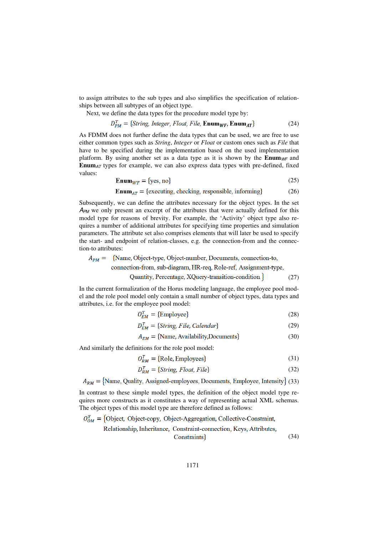to assign attributes to the sub types and also simplifies the specification of relationships between all subtypes of an object type.

Next, we define the data types for the procedure model type by:

$$
D_{PM}^T = \{String, Integer, Floor, File, Enum_{WF}, Enum_{AT}\}
$$
 (24)

As FDMM does not further define the data types that can be used, we are free to use either common types such as *String*, *Integer* or *Float* or custom ones such as *File* that have to be specified during the implementation based on the used implementation platform. By using another set as a data type as it is shown by the **Enum** $w_F$  and **Enum**AT types for example, we can also express data types with pre-defined, fixed values:

$$
Enum_{WF} = \{yes, no\}
$$
 (25)

**Enum**<sub>AT</sub> = {executing, checking, responsible, informing} (26)

Subsequently, we can define the attributes necessary for the object types. In the set  $A_{PM}$  we only present an excerpt of the attributes that were actually defined for this model type for reasons of brevity. For example, the 'Activity' object type also requires a number of additional attributes for specifying time properties and simulation parameters. The attribute set also comprises elements that will later be used to specify the start- and endpoint of relation-classes, e.g. the connection-from and the connection-to attributes:

## $A_{PM}$  = {Name, Object-type, Object-number, Documents, connection-to,

connection-from, sub-diagram, HR-req, Role-ref, Assignment-type,

Quantity, Percentage, XQuery-transition-condition } (27)

In the current formalization of the Horus modeling language, the employee pool model and the role pool model only contain a small number of object types, data types and attributes, i.e. for the employee pool model:

$$
O_{EM}^T = \{ \text{Employee} \} \tag{28}
$$

$$
D_{EM}^T = \{String, File, Calendar\} \tag{29}
$$

$$
A_{EM} = \{Name, Availableility, Documents\} \tag{30}
$$

And similarly the definitions for the role pool model:

$$
O_{RM}^T = \{ \text{Role, Employees} \} \tag{31}
$$

$$
D_{RM}^T = \{String, Float, File\} \tag{32}
$$

 $A_{RM}$  = {Name, Quality, Assigned-employees, Documents, Employee, Intensity} (33)

In contrast to these simple model types, the definition of the object model type requires more constructs as it constitutes a way of representing actual XML schemas. The object types of this model type are therefore defined as follows:

$$
O_{OM}^t = \{Object, Object-copy, Object-Aggregation, Collective-Construct, Relationship, Inheritance, Constraint-connection, Keys, Attributes, Constraints\}
$$
\n(34)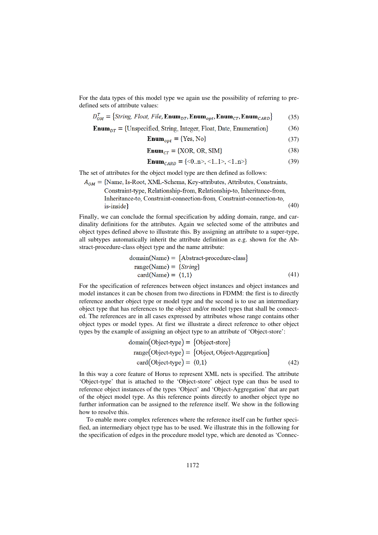For the data types of this model type we again use the possibility of referring to predefined sets of attribute values:

$$
D_{OM}^T = \{String, Float, File, \mathbf{Enum}_{DT}, \mathbf{Enum}_{opt}, \mathbf{Enum}_{CT}, \mathbf{Enum}_{CARD}\} \tag{35}
$$

$$
EnumDT = {Unspecified, String, Integer, float, Date, Enumeration}
$$
 (36)

$$
Enum_{opt} = \{Yes, No\}
$$
 (37)

$$
Enum_{CT} = \{XOR, OR, SIM\}
$$
 (38)

$$
Enum_{CARD} = \{<0..n>, <1..1>, <1..n>\}
$$
 (39)

The set of attributes for the object model type are then defined as follows:

 $A_{OM}$  = {Name, Is-Root, XML-Schema, Key-attributes, Attributes, Constraints, Constraint-type, Relationship-from, Relationship-to, Inheritance-from, Inheritance-to, Constraint-connection-from, Constraint-connection-to, (40)  $is\text{-}inside\}$ 

Finally, we can conclude the formal specification by adding domain, range, and cardinality definitions for the attributes. Again we selected some of the attributes and object types defined above to illustrate this. By assigning an attribute to a super-type, all subtypes automatically inherit the attribute definition as e.g. shown for the Abstract-procedure-class object type and the name attribute:

$$
domain(Name) = {Abstract-procedure-class}
$$
  
\n
$$
range(Name) = {String}
$$
  
\n
$$
card(Name) = (1,1)
$$
\n(41)

For the specification of references between object instances and object instances and model instances it can be chosen from two directions in FDMM: the first is to directly reference another object type or model type and the second is to use an intermediary object type that has references to the object and/or model types that shall be connected. The references are in all cases expressed by attributes whose range contains other object types or model types. At first we illustrate a direct reference to other object types by the example of assigning an object type to an attribute of 'Object-store':

$$
domain(Object-type) = {Object-store}
$$
  
range(Object-type) = {Object, Object-Aggregation}  
card(Object-type) = (0,1) (42)

In this way a core feature of Horus to represent XML nets is specified. The attribute 'Object-type' that is attached to the 'Object-store' object type can thus be used to reference object instances of the types 'Object' and 'Object-Aggregation' that are part of the object model type. As this reference points directly to another object type no further information can be assigned to the reference itself. We show in the following how to resolve this.

To enable more complex references where the reference itself can be further specified, an intermediary object type has to be used. We illustrate this in the following for the specification of edges in the procedure model type, which are denoted as 'Connec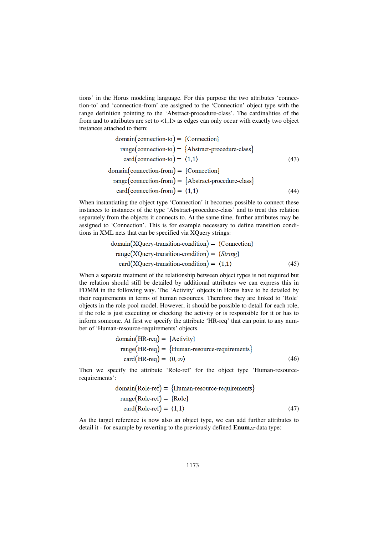tions' in the Horus modeling language. For this purpose the two attributes 'connection-to' and 'connection-from' are assigned to the 'Connection' object type with the range definition pointing to the 'Abstract-procedure-class'. The cardinalities of the from and to attributes are set to  $\langle 1,1 \rangle$  as edges can only occur with exactly two object instances attached to them:

$$
domain(connection-to) = {Connection}
$$
\n
$$
range(connection-to) = {Abstract-procedure-class}
$$
\n
$$
card(connection-to) = \langle 1, 1 \rangle
$$
\n
$$
domain(connection-from) = {Connection}
$$
\n
$$
range(connection-from) = {Abstract-procedure-class}
$$
\n
$$
range(connection-from) = {Abstract-procedure-class}
$$
\n
$$
card(connection-from) = \langle 1, 1 \rangle
$$
\n(44)

When instantiating the object type 'Connection' it becomes possible to connect these instances to instances of the type 'Abstract-procedure-class' and to treat this relation separately from the objects it connects to. At the same time, further attributes may be assigned to 'Connection'. This is for example necessary to define transition conditions in XML nets that can be specified via XQuery strings:

$$
domain(XQuery-transition\text{-condition}) = {Connection}
$$
\n
$$
range(XQuery-transition\text{-condition}) = {String}
$$
\n
$$
card(XQuery-transition\text{-condition}) = \langle 1,1 \rangle
$$
\n(45)

When a separate treatment of the relationship between object types is not required but the relation should still be detailed by additional attributes we can express this in FDMM in the following way. The 'Activity' objects in Horus have to be detailed by their requirements in terms of human resources. Therefore they are linked to 'Role' objects in the role pool model. However, it should be possible to detail for each role, if the role is just executing or checking the activity or is responsible for it or has to inform someone. At first we specify the attribute 'HR-req' that can point to any number of 'Human-resource-requirements' objects.

domain(HR-reg) = {Activity}  
\nrange(HR-reg) = {Human resource-requirements}  
\ncard(HR-reg) = 
$$
\langle 0, \infty \rangle
$$
 (46)

Then we specify the attribute 'Role-ref' for the object type 'Human-resourcerequirements':

domain(Role-ref) = {Human resource-requirements}  
range(Role-ref) = {Role}  
card(Role-ref) = 
$$
\langle 1,1 \rangle
$$
 (47)

As the target reference is now also an object type, we can add further attributes to detail it - for example by reverting to the previously defined  $\text{Enum}_{AT}$  data type: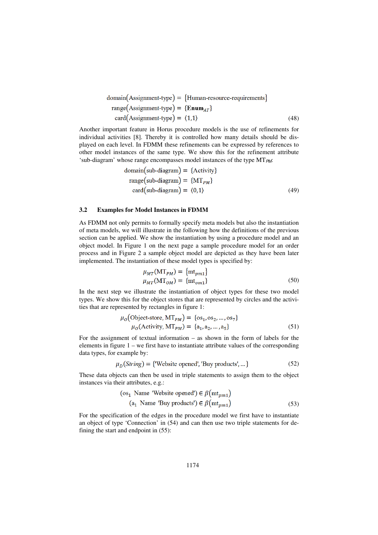domain(Assignment-type) = {Human-resource-requirements}  
range(Assignment-type) = {Enum<sub>AT</sub>}  
card(Assignment-type) = 
$$
\langle 1,1 \rangle
$$
 (48)

Another important feature in Horus procedure models is the use of refinements for individual activities [8]. Thereby it is controlled how many details should be displayed on each level. In FDMM these refinements can be expressed by references to other model instances of the same type. We show this for the refinement attribute 'sub-diagram' whose range encompasses model instances of the type  $MT_{PM}$ :

domain(sub-diagram) = {Activity}  
\n
$$
range(sub-diagram) = {MT_{PM}}
$$
\n
$$
card(sub-diagram) = \langle 0,1 \rangle
$$
\n(49)

#### **3.2 Examples for Model Instances in FDMM**

As FDMM not only permits to formally specify meta models but also the instantiation of meta models, we will illustrate in the following how the definitions of the previous section can be applied. We show the instantiation by using a procedure model and an object model. In Figure 1 on the next page a sample procedure model for an order process and in Figure 2 a sample object model are depicted as they have been later implemented. The instantiation of these model types is specified by:

$$
\mu_{MT}(\text{MT}_{PM}) = \{ \text{mt}_{pm1} \}
$$
  
\n
$$
\mu_{MT}(\text{MT}_{OM}) = \{ \text{mt}_{om1} \}
$$
 (50)

In the next step we illustrate the instantiation of object types for these two model types. We show this for the object stores that are represented by circles and the activities that are represented by rectangles in figure 1:

$$
\mu_0(\text{Object-store}, \text{MT}_{PM}) = \{\text{os}_1, \text{os}_2, \dots, \text{os}_7\}
$$

$$
\mu_0(\text{Activity}, \text{MT}_{PM}) = \{\text{a}_1, \text{a}_2, \dots, \text{a}_5\} \tag{51}
$$

For the assignment of textual information – as shown in the form of labels for the elements in figure  $1 - we$  first have to instantiate attribute values of the corresponding data types, for example by:

$$
\mu_D(\text{String}) = \{ \text{Website opened}, \text{ 'Buy products'}, \dots \} \tag{52}
$$

These data objects can then be used in triple statements to assign them to the object instances via their attributes, e.g.:

$$
\begin{aligned} \text{(os}_1 \text{ Name 'Website opened'}) &\in \beta(\text{mt}_{pm1})\\ \text{(a}_1 \text{ Name 'Buy products'}) &\in \beta(\text{mt}_{pm1}) \end{aligned} \tag{53}
$$

For the specification of the edges in the procedure model we first have to instantiate an object of type 'Connection' in (54) and can then use two triple statements for defining the start and endpoint in (55):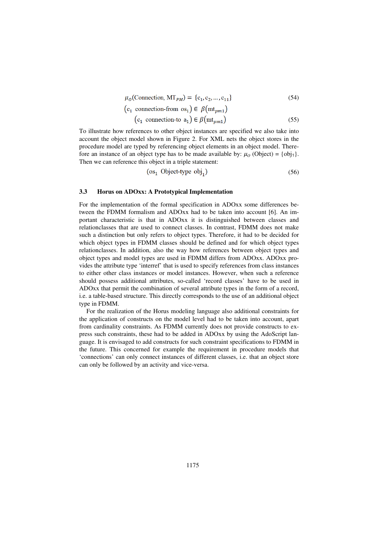$$
\mu_0(\text{Connection}, \text{MT}_{PM}) = \{c_1, c_2, \dots, c_{11}\}\tag{54}
$$

$$
(c_1 \text{ connection-from os}_1) \in \beta(\text{mt}_{pm1})
$$
  

$$
(c_1 \text{ connection-to } a_1) \in \beta(\text{mt}_{pm1})
$$
 (55)

To illustrate how references to other object instances are specified we also take into account the object model shown in Figure 2. For XML nets the object stores in the procedure model are typed by referencing object elements in an object model. Therefore an instance of an object type has to be made available by:  $\mu_0$  (Object) = {obj<sub>1</sub>}. Then we can reference this object in a triple statement:

$$
(os1 Object-type obj1) \t(56)
$$

#### **3.3 Horus on ADOxx: A Prototypical Implementation**

For the implementation of the formal specification in ADOxx some differences between the FDMM formalism and ADOxx had to be taken into account [6]. An important characteristic is that in ADOxx it is distinguished between classes and relationclasses that are used to connect classes. In contrast, FDMM does not make such a distinction but only refers to object types. Therefore, it had to be decided for which object types in FDMM classes should be defined and for which object types relationclasses. In addition, also the way how references between object types and object types and model types are used in FDMM differs from ADOxx. ADOxx provides the attribute type 'interref' that is used to specify references from class instances to either other class instances or model instances. However, when such a reference should possess additional attributes, so-called 'record classes' have to be used in ADOxx that permit the combination of several attribute types in the form of a record, i.e. a table-based structure. This directly corresponds to the use of an additional object type in FDMM.

For the realization of the Horus modeling language also additional constraints for the application of constructs on the model level had to be taken into account, apart from cardinality constraints. As FDMM currently does not provide constructs to express such constraints, these had to be added in ADOxx by using the AdoScript language. It is envisaged to add constructs for such constraint specifications to FDMM in the future. This concerned for example the requirement in procedure models that 'connections' can only connect instances of different classes, i.e. that an object store can only be followed by an activity and vice-versa.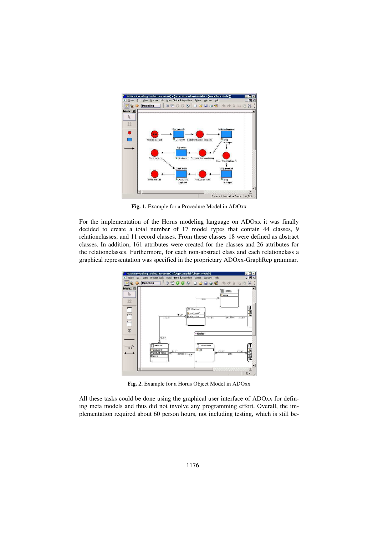

**Fig. 1.** Example for a Procedure Model in ADOxx

For the implementation of the Horus modeling language on ADOxx it was finally decided to create a total number of 17 model types that contain 44 classes, 9 relationclasses, and 11 record classes. From these classes 18 were defined as abstract classes. In addition, 161 attributes were created for the classes and 26 attributes for the relationclasses. Furthermore, for each non-abstract class and each relationclass a graphical representation was specified in the proprietary ADOxx-GraphRep grammar.



**Fig. 2.** Example for a Horus Object Model in ADOxx

All these tasks could be done using the graphical user interface of ADOxx for defining meta models and thus did not involve any programming effort. Overall, the implementation required about 60 person hours, not including testing, which is still be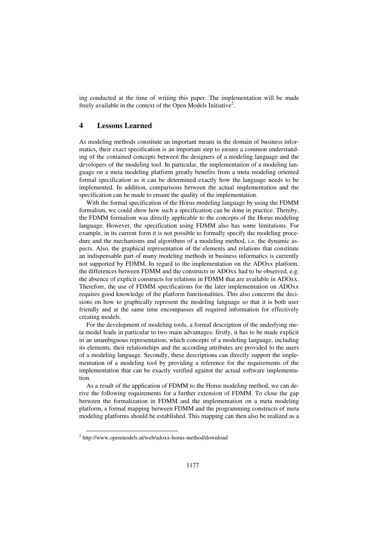ing conducted at the time of writing this paper. The implementation will be made freely available in the context of the Open Models Initiative<sup>2</sup>.

## **4 Lessons Learned**

As modeling methods constitute an important means in the domain of business informatics, their exact specification is an important step to ensure a common understanding of the contained concepts between the designers of a modeling language and the developers of the modeling tool. In particular, the implementation of a modeling language on a meta modeling platform greatly benefits from a meta modeling oriented formal specification as it can be determined exactly how the language needs to be implemented. In addition, comparisons between the actual implementation and the specification can be made to ensure the quality of the implementation.

With the formal specification of the Horus modeling language by using the FDMM formalism, we could show how such a specification can be done in practice. Thereby, the FDMM formalism was directly applicable to the concepts of the Horus modeling language. However, the specification using FDMM also has some limitations. For example, in its current form it is not possible to formally specify the modeling procedure and the mechanisms and algorithms of a modeling method, i.e. the dynamic aspects. Also, the graphical representation of the elements and relations that constitute an indispensable part of many modeling methods in business informatics is currently not supported by FDMM. In regard to the implementation on the ADOxx platform, the differences between FDMM and the constructs in ADOxx had to be observed, e.g. the absence of explicit constructs for relations in FDMM that are available in ADOxx. Therefore, the use of FDMM specifications for the later implementation on ADOxx requires good knowledge of the platform functionalities. This also concerns the decisions on how to graphically represent the modeling language so that it is both user friendly and at the same time encompasses all required information for effectively creating models.

For the development of modeling tools, a formal description of the underlying meta model leads in particular to two main advantages: firstly, it has to be made explicit in an unambiguous representation, which concepts of a modeling language, including its elements, their relationships and the according attributes are provided to the users of a modeling language. Secondly, these descriptions can directly support the implementation of a modeling tool by providing a reference for the requirements of the implementation that can be exactly verified against the actual software implementation.

As a result of the application of FDMM to the Horus modeling method, we can derive the following requirements for a further extension of FDMM. To close the gap between the formalization in FDMM and the implementation on a meta modeling platform, a formal mapping between FDMM and the programming constructs of meta modeling platforms should be established. This mapping can then also be realized as a

l

<sup>&</sup>lt;sup>2</sup> http://www.openmodels.at/web/adoxx-horus-method/download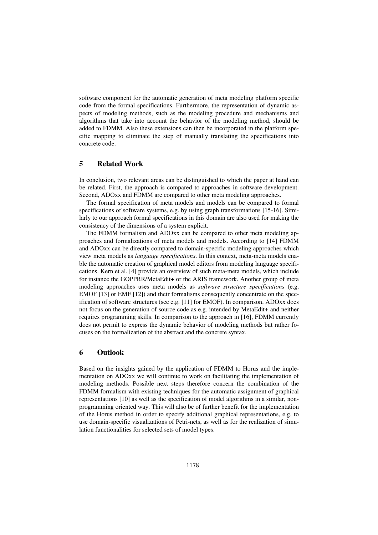software component for the automatic generation of meta modeling platform specific code from the formal specifications. Furthermore, the representation of dynamic aspects of modeling methods, such as the modeling procedure and mechanisms and algorithms that take into account the behavior of the modeling method, should be added to FDMM. Also these extensions can then be incorporated in the platform specific mapping to eliminate the step of manually translating the specifications into concrete code.

## **5 Related Work**

In conclusion, two relevant areas can be distinguished to which the paper at hand can be related. First, the approach is compared to approaches in software development. Second, ADOxx and FDMM are compared to other meta modeling approaches.

The formal specification of meta models and models can be compared to formal specifications of software systems, e.g. by using graph transformations [15-16]. Similarly to our approach formal specifications in this domain are also used for making the consistency of the dimensions of a system explicit.

The FDMM formalism and ADOxx can be compared to other meta modeling approaches and formalizations of meta models and models. According to [14] FDMM and ADOxx can be directly compared to domain-specific modeling approaches which view meta models as *language specifications*. In this context, meta-meta models enable the automatic creation of graphical model editors from modeling language specifications. Kern et al. [4] provide an overview of such meta-meta models, which include for instance the GOPPRR/MetaEdit+ or the ARIS framework. Another group of meta modeling approaches uses meta models as *software structure specifications* (e.g. EMOF [13] or EMF [12]) and their formalisms consequently concentrate on the specification of software structures (see e.g. [11] for EMOF). In comparison, ADOxx does not focus on the generation of source code as e.g. intended by MetaEdit+ and neither requires programming skills. In comparison to the approach in [16], FDMM currently does not permit to express the dynamic behavior of modeling methods but rather focuses on the formalization of the abstract and the concrete syntax.

## **6 Outlook**

Based on the insights gained by the application of FDMM to Horus and the implementation on ADOxx we will continue to work on facilitating the implementation of modeling methods. Possible next steps therefore concern the combination of the FDMM formalism with existing techniques for the automatic assignment of graphical representations [10] as well as the specification of model algorithms in a similar, nonprogramming oriented way. This will also be of further benefit for the implementation of the Horus method in order to specify additional graphical representations, e.g. to use domain-specific visualizations of Petri-nets, as well as for the realization of simulation functionalities for selected sets of model types.